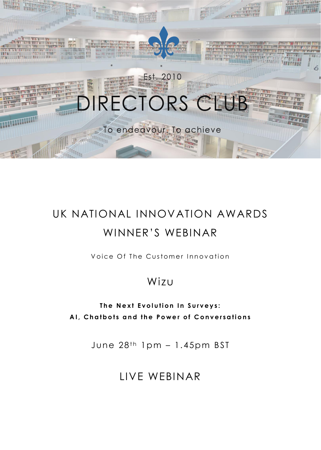

# UK NATIONAL INNOVATION AWARDS WINNER'S WEBINAR

Voice Of The Customer Innovation

## Wizu

**The Next Evolution In Surveys: AI, Chatbots and the Power of Conversations** 

June  $28<sup>th</sup>$  1pm - 1.45pm BST

LIVE WEBINAR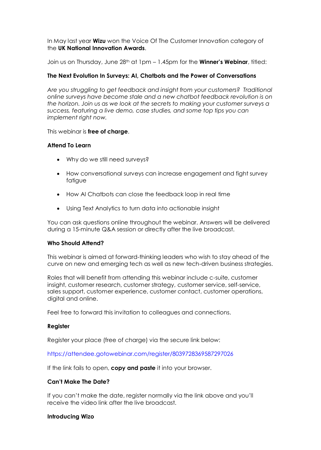In May last year **Wizu** won the Voice Of The Customer Innovation category of the **UK National Innovation Awards**.

Join us on Thursday, June 28th at 1pm – 1.45pm for the **Winner's Webinar**, titled:

### **The Next Evolution In Surveys: AI, Chatbots and the Power of Conversations**

*Are you struggling to get feedback and insight from your customers? Traditional online surveys have become stale and a new chatbot feedback revolution is on the horizon. Join us as we look at the secrets to making your customer surveys a success, featuring a live demo, case studies, and some top tips you can implement right now.*

#### This webinar is **free of charge**.

#### **Attend To Learn**

- Why do we still need surveys?
- How conversational surveys can increase engagement and fight survey fatigue
- How AI Chatbots can close the feedback loop in real time
- Using Text Analytics to turn data into actionable insight

You can ask questions online throughout the webinar. Answers will be delivered during a 15-minute Q&A session or directly after the live broadcast.

#### **Who Should Attend?**

This webinar is aimed at forward-thinking leaders who wish to stay ahead of the curve on new and emerging tech as well as new tech-driven business strategies.

Roles that will benefit from attending this webinar include c-suite, customer insight, customer research, customer strategy, customer service, self-service, sales support, customer experience, customer contact, customer operations, digital and online.

Feel free to forward this invitation to colleagues and connections.

#### **Register**

Register your place (free of charge) via the secure link below:

<https://attendee.gotowebinar.com/register/8039728369587297026>

If the link fails to open, **copy and paste** it into your browser.

#### **Can't Make The Date?**

If you can't make the date, register normally via the link above and you'll receive the video link after the live broadcast.

#### **Introducing Wizo**